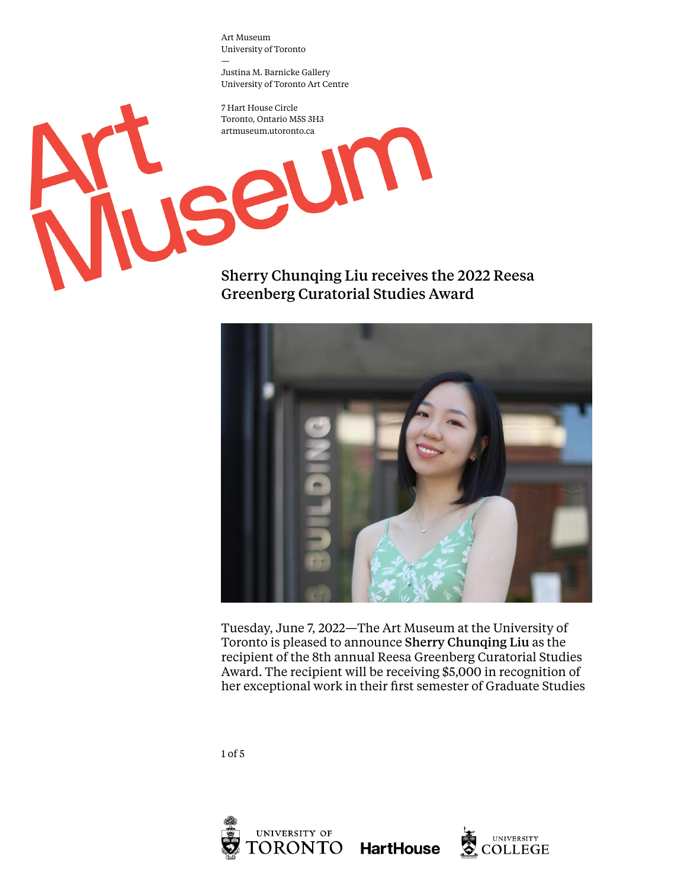Justina M. Barnicke Gallery University of Toronto Art Centre

L

7 Hart House Circle Toronto, Ontario M5S 3H3 artmuseum.utoronto.ca

SE

Sherry Chunqing Liu receives the 2022 Reesa Greenberg Curatorial Studies Award



Tuesday, June 7, 2022—The Art Museum at the University of Toronto is pleased to announce Sherry Chunqing Liu as the recipient of the 8th annual Reesa Greenberg Curatorial Studies Award. The recipient will be receiving \$5,000 in recognition of her exceptional work in their first semester of Graduate Studies

1 of 5



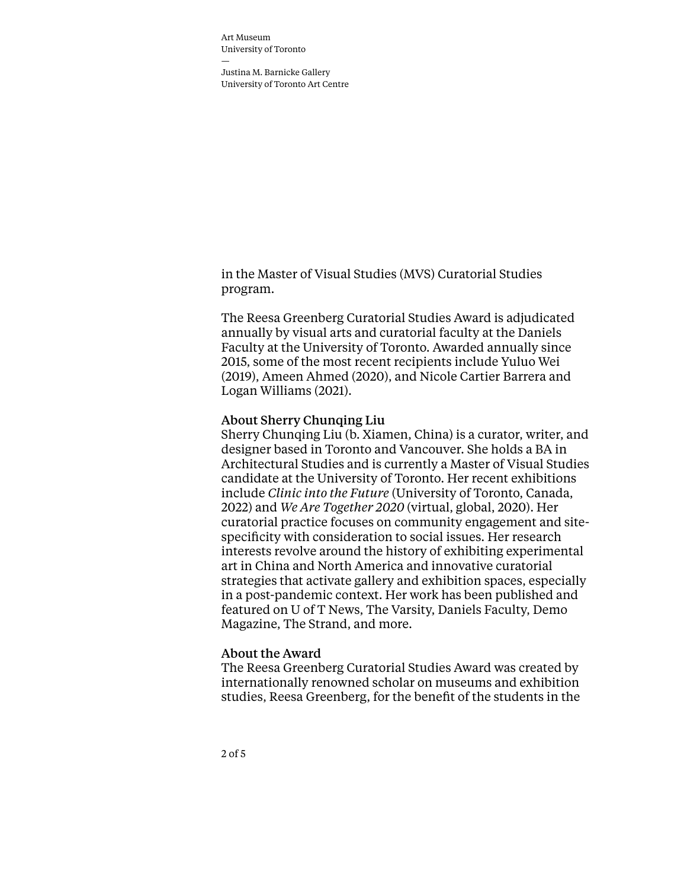Justina M. Barnicke Gallery University of Toronto Art Centre

in the Master of Visual Studies (MVS) Curatorial Studies program.

The Reesa Greenberg Curatorial Studies Award is adjudicated annually by visual arts and curatorial faculty at the Daniels Faculty at the University of Toronto. Awarded annually since 2015, some of the most recent recipients include Yuluo Wei (2019), Ameen Ahmed (2020), and Nicole Cartier Barrera and Logan Williams (2021).

## About Sherry Chunqing Liu

Sherry Chunqing Liu (b. Xiamen, China) is a curator, writer, and designer based in Toronto and Vancouver. She holds a BA in Architectural Studies and is currently a Master of Visual Studies candidate at the University of Toronto. Her recent exhibitions include *Clinic into the Future* (University of Toronto, Canada, 2022) and *We Are Together 2020* (virtual, global, 2020). Her curatorial practice focuses on community engagement and sitespecificity with consideration to social issues. Her research interests revolve around the history of exhibiting experimental art in China and North America and innovative curatorial strategies that activate gallery and exhibition spaces, especially in a post-pandemic context. Her work has been published and featured on U of T News, The Varsity, Daniels Faculty, Demo Magazine, The Strand, and more.

## About the Award

The Reesa Greenberg Curatorial Studies Award was created by internationally renowned scholar on museums and exhibition studies, Reesa Greenberg, for the benefit of the students in the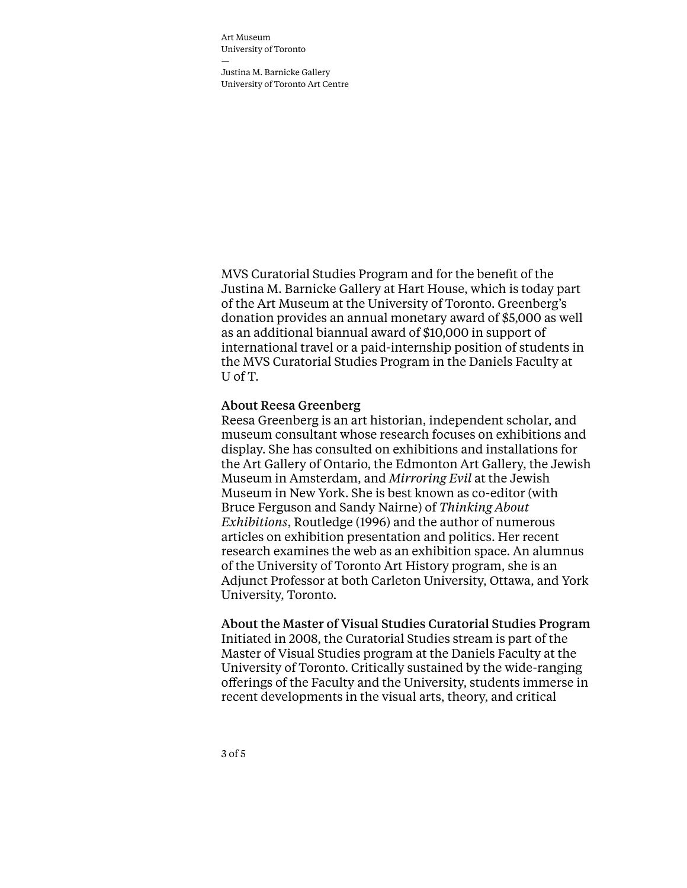Justina M. Barnicke Gallery University of Toronto Art Centre

MVS Curatorial Studies Program and for the benefit of the Justina M. Barnicke Gallery at Hart House, which is today part of the Art Museum at the University of Toronto. Greenberg's donation provides an annual monetary award of \$5,000 as well as an additional biannual award of \$10,000 in support of international travel or a paid-internship position of students in the MVS Curatorial Studies Program in the Daniels Faculty at U of T.

## About Reesa Greenberg

Reesa Greenberg is an art historian, independent scholar, and museum consultant whose research focuses on exhibitions and display. She has consulted on exhibitions and installations for the Art Gallery of Ontario, the Edmonton Art Gallery, the Jewish Museum in Amsterdam, and *Mirroring Evil* at the Jewish Museum in New York. She is best known as co-editor (with Bruce Ferguson and Sandy Nairne) of *Thinking About Exhibitions*, Routledge (1996) and the author of numerous articles on exhibition presentation and politics. Her recent research examines the web as an exhibition space. An alumnus of the University of Toronto Art History program, she is an Adjunct Professor at both Carleton University, Ottawa, and York University, Toronto.

About the Master of Visual Studies Curatorial Studies Program Initiated in 2008, the Curatorial Studies stream is part of the Master of Visual Studies program at the Daniels Faculty at the University of Toronto. Critically sustained by the wide-ranging offerings of the Faculty and the University, students immerse in

recent developments in the visual arts, theory, and critical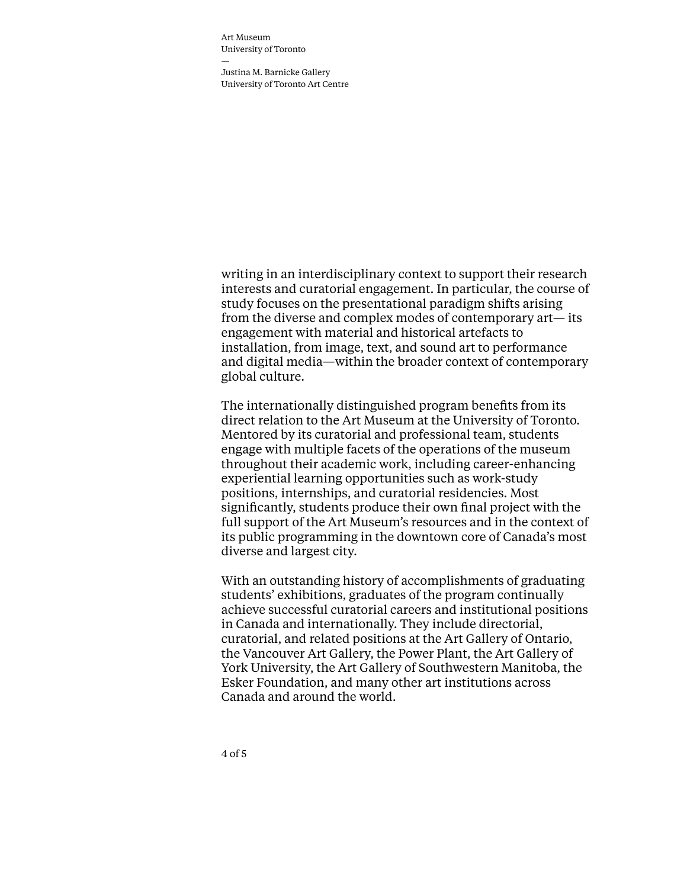Justina M. Barnicke Gallery University of Toronto Art Centre

writing in an interdisciplinary context to support their research interests and curatorial engagement. In particular, the course of study focuses on the presentational paradigm shifts arising from the diverse and complex modes of contemporary art— its engagement with material and historical artefacts to installation, from image, text, and sound art to performance and digital media—within the broader context of contemporary global culture.

The internationally distinguished program benefits from its direct relation to the Art Museum at the University of Toronto. Mentored by its curatorial and professional team, students engage with multiple facets of the operations of the museum throughout their academic work, including career-enhancing experiential learning opportunities such as work-study positions, internships, and curatorial residencies. Most significantly, students produce their own final project with the full support of the Art Museum's resources and in the context of its public programming in the downtown core of Canada's most diverse and largest city.

With an outstanding history of accomplishments of graduating students' exhibitions, graduates of the program continually achieve successful curatorial careers and institutional positions in Canada and internationally. They include directorial, curatorial, and related positions at the Art Gallery of Ontario, the Vancouver Art Gallery, the Power Plant, the Art Gallery of York University, the Art Gallery of Southwestern Manitoba, the Esker Foundation, and many other art institutions across Canada and around the world.